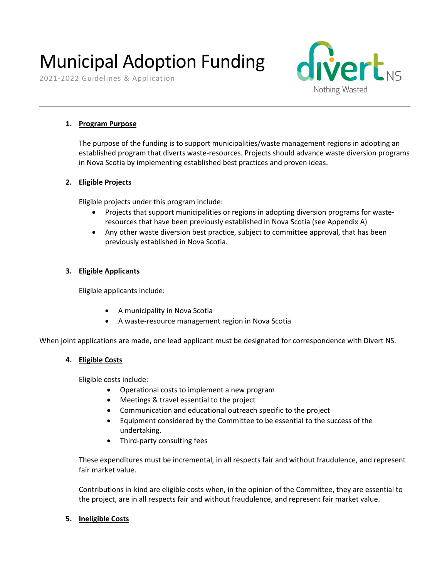# Municipal Adoption Funding

2021-2022 Guidelines & Application



#### **1. Program Purpose**

The purpose of the funding is to support municipalities/waste management regions in adopting an established program that diverts waste-resources. Projects should advance waste diversion programs in Nova Scotia by implementing established best practices and proven ideas.

#### **2. Eligible Projects**

Eligible projects under this program include:

- Projects that support municipalities or regions in adopting diversion programs for wasteresources that have been previously established in Nova Scotia (see Appendix A)
- Any other waste diversion best practice, subject to committee approval, that has been previously established in Nova Scotia.

#### **3. Eligible Applicants**

Eligible applicants include:

- A municipality in Nova Scotia
- A waste-resource management region in Nova Scotia

When joint applications are made, one lead applicant must be designated for correspondence with Divert NS.

#### **4. Eligible Costs**

Eligible costs include:

- Operational costs to implement a new program
- Meetings & travel essential to the project
- Communication and educational outreach specific to the project
- Equipment considered by the Committee to be essential to the success of the undertaking.
- Third-party consulting fees

These expenditures must be incremental, in all respects fair and without fraudulence, and represent fair market value.

Contributions in-kind are eligible costs when, in the opinion of the Committee, they are essential to the project, are in all respects fair and without fraudulence, and represent fair market value.

#### **5. Ineligible Costs**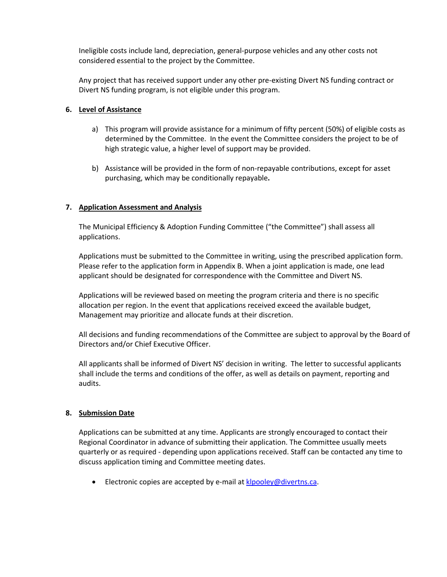Ineligible costs include land, depreciation, general-purpose vehicles and any other costs not considered essential to the project by the Committee.

Any project that has received support under any other pre-existing Divert NS funding contract or Divert NS funding program, is not eligible under this program.

#### **6. Level of Assistance**

- a) This program will provide assistance for a minimum of fifty percent (50%) of eligible costs as determined by the Committee. In the event the Committee considers the project to be of high strategic value, a higher level of support may be provided.
- b) Assistance will be provided in the form of non-repayable contributions, except for asset purchasing, which may be conditionally repayable**.**

#### **7. Application Assessment and Analysis**

The Municipal Efficiency & Adoption Funding Committee ("the Committee") shall assess all applications.

Applications must be submitted to the Committee in writing, using the prescribed application form. Please refer to the application form in Appendix B. When a joint application is made, one lead applicant should be designated for correspondence with the Committee and Divert NS.

Applications will be reviewed based on meeting the program criteria and there is no specific allocation per region. In the event that applications received exceed the available budget, Management may prioritize and allocate funds at their discretion.

All decisions and funding recommendations of the Committee are subject to approval by the Board of Directors and/or Chief Executive Officer.

All applicants shall be informed of Divert NS' decision in writing. The letter to successful applicants shall include the terms and conditions of the offer, as well as details on payment, reporting and audits.

#### **8. Submission Date**

Applications can be submitted at any time. Applicants are strongly encouraged to contact their Regional Coordinator in advance of submitting their application. The Committee usually meets quarterly or as required - depending upon applications received. Staff can be contacted any time to discuss application timing and Committee meeting dates.

• Electronic copies are accepted by e-mail at  $klpoolev@divertns.ca.$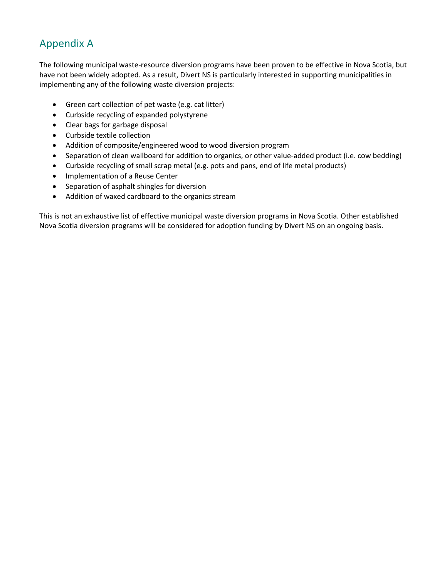## Appendix A

The following municipal waste-resource diversion programs have been proven to be effective in Nova Scotia, but have not been widely adopted. As a result, Divert NS is particularly interested in supporting municipalities in implementing any of the following waste diversion projects:

- Green cart collection of pet waste (e.g. cat litter)
- Curbside recycling of expanded polystyrene
- Clear bags for garbage disposal
- Curbside textile collection
- Addition of composite/engineered wood to wood diversion program
- Separation of clean wallboard for addition to organics, or other value-added product (i.e. cow bedding)
- Curbside recycling of small scrap metal (e.g. pots and pans, end of life metal products)
- Implementation of a Reuse Center
- Separation of asphalt shingles for diversion
- Addition of waxed cardboard to the organics stream

This is not an exhaustive list of effective municipal waste diversion programs in Nova Scotia. Other established Nova Scotia diversion programs will be considered for adoption funding by Divert NS on an ongoing basis.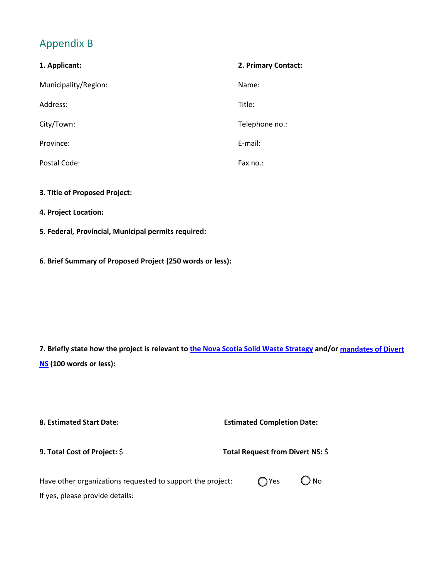## Appendix B

| 1. Applicant:        | 2. Primary Contact: |
|----------------------|---------------------|
| Municipality/Region: | Name:               |
| Address:             | Title:              |
| City/Town:           | Telephone no.:      |
| Province:            | E-mail:             |
| Postal Code:         | Fax no.:            |

**3. Title of Proposed Project:**

If yes, please provide details:

- **4. Project Location:**
- **5. Federal, Provincial, Municipal permits required:**
- **6**. **Brief Summary of Proposed Project (250 words or less):**

**7. Briefly state how the project is relevant to [the Nova Scotia Solid Waste Strategy](https://www.novascotia.ca/nse/waste/strategy.asp) and/or [mandates of Divert](https://divertns.ca/about-us) [NS](https://divertns.ca/about-us) (100 words or less):**

| 8. Estimated Start Date:                                   | <b>Estimated Completion Date:</b><br>Total Request from Divert NS: \$ |  |  |
|------------------------------------------------------------|-----------------------------------------------------------------------|--|--|
| 9. Total Cost of Project: \$                               |                                                                       |  |  |
| Have other organizations requested to support the project: | ) No<br>◯ Yes                                                         |  |  |